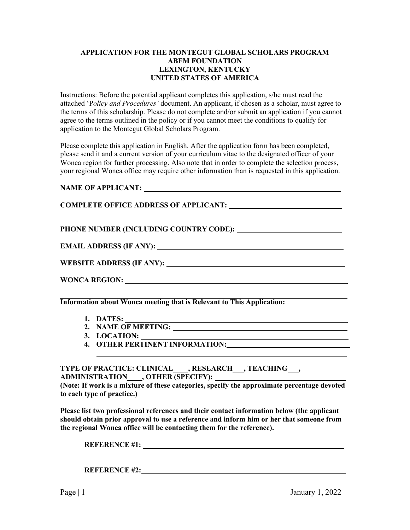## **APPLICATION FOR THE MONTEGUT GLOBAL SCHOLARS PROGRAM ABFM FOUNDATION LEXINGTON, KENTUCKY UNITED STATES OF AMERICA**

Instructions: Before the potential applicant completes this application, s/he must read the attached 'P*olicy and Procedures'* document. An applicant, if chosen as a scholar, must agree to the terms of this scholarship. Please do not complete and/or submit an application if you cannot agree to the terms outlined in the policy or if you cannot meet the conditions to qualify for application to the Montegut Global Scholars Program.

Please complete this application in English. After the application form has been completed, please send it and a current version of your curriculum vitae to the designated officer of your Wonca region for further processing. Also note that in order to complete the selection process, your regional Wonca office may require other information than is requested in this application.

## **NAME OF APPLICANT:**

## **COMPLETE OFFICE ADDRESS OF APPLICANT:**

## **PHONE NUMBER (INCLUDING COUNTRY CODE):**

**EMAIL ADDRESS (IF ANY):** 

**WEBSITE ADDRESS (IF ANY):** 

**WONCA REGION:** 

**Information about Wonca meeting that is Relevant to This Application:**

- **1. DATES:**
- **2. NAME OF MEETING:**
- **3. LOCATION:**
- **4. OTHER PERTINENT INFORMATION:**

**TYPE OF PRACTICE: CLINICAL , RESEARCH , TEACHING , ADMINISTRATION , OTHER (SPECIFY):** 

**(Note: If work is a mixture of these categories, specify the approximate percentage devoted to each type of practice.)** 

**Please list two professional references and their contact information below (the applicant should obtain prior approval to use a reference and inform him or her that someone from the regional Wonca office will be contacting them for the reference).**

**REFERENCE #1:** 

**REFERENCE #2:**